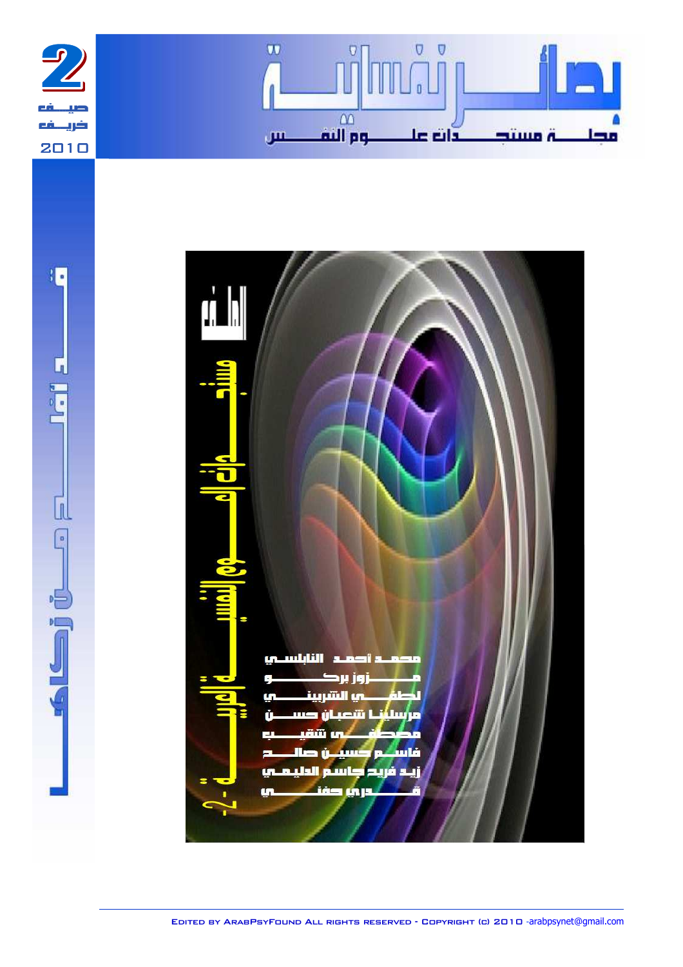





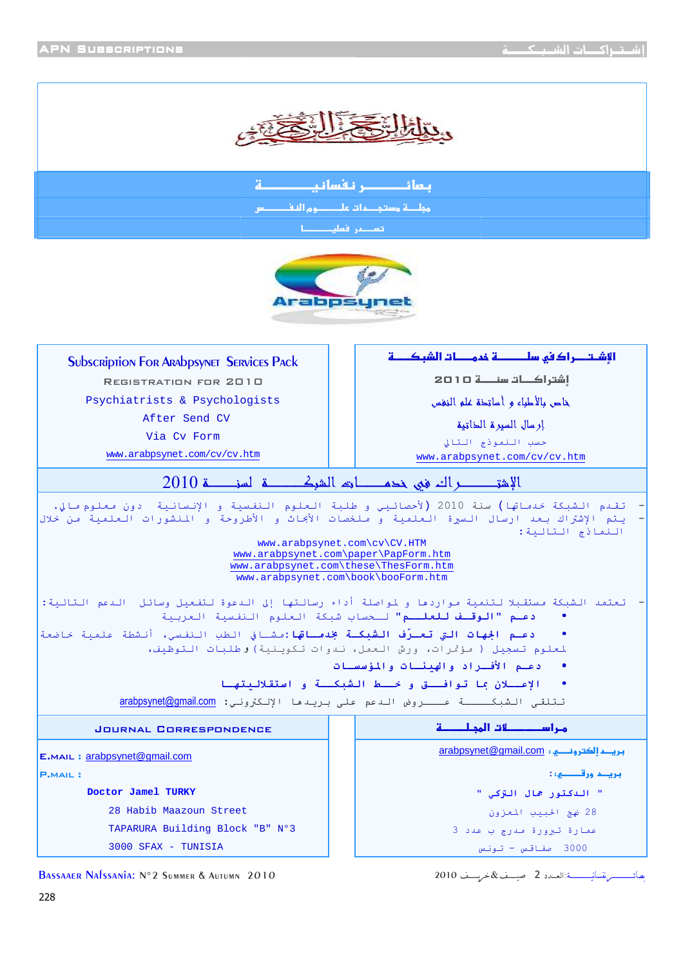

- 

مجلـــــة مستجـــــم1ت علـــــــــــوم النـفـــــــــــس

د در فعليم <u>است.</u>



| <b>SUbscription For ARAbpSYNET SERVICES PACK</b>                                                                                                                                            | الإشتصراك في سلــــــــــة خممـــــات الشبكــــــة                           |
|---------------------------------------------------------------------------------------------------------------------------------------------------------------------------------------------|------------------------------------------------------------------------------|
| REGISTRATION FOR 2010                                                                                                                                                                       | إشتراكات سنصة 10 20                                                          |
| Psychiatrists & Psychologists                                                                                                                                                               | خاص بالأطباء وأساتحق علو النغس                                               |
| After Send CV                                                                                                                                                                               | إرسال السيرة الخاتية                                                         |
| Via Cy Form                                                                                                                                                                                 | حسب النموذج التالي                                                           |
| www.arabpsynet.com/cv/cv.htm                                                                                                                                                                | www.arabpsynet.com/cv/cv.htm                                                 |
|                                                                                                                                                                                             |                                                                              |
| تقدم الشبكة خدماتها) سنة 2010 (لأحصائيي و طلبة العلوم النفسية و الإنسانية  دون معلوم مالي.<br>يتم الإشتراك بعد ارسال السيرة العلمية و ملخصات الأبجاث و الأطروحة و المنشورات العلمية من خلال | النماذج التالية:<br>www.arabpsynet.com\cv\CV.HTM                             |
|                                                                                                                                                                                             | www.arabpsynet.com\paper\PapForm.htm                                         |
|                                                                                                                                                                                             | www.arabpsynet.com\these\ThesForm.htm<br>www.arabpsynet.com\book\booForm.htm |
|                                                                                                                                                                                             |                                                                              |
| تعتمد الشبكة مستقبلا لتنمية مواردها و لمواصلة أداء رسالتها إلى الدعوة لتفعيل وسائل  الدعم التالية:                                                                                          | <b>دعـم "الوقــف للعلــم"</b> لـحساب شبكة العلوم النفسية العربية             |
| <b>دعـم الجهات التي تعـرُف الشبكـة بخدمـاتها:</b> مشـافي الطب الـنفـسي، أنـشطة علميـة خاضعة                                                                                                 | لمعلوم تسجيل ( مؤتمرات، ورش العمل، ندوات تكوينية) وطلبات التوظيف،            |
|                                                                                                                                                                                             | دعـم الأفـراد والهنئـات والمؤسسـات                                           |
|                                                                                                                                                                                             | الإعسلان بما توافستق وخسلط الشبكسة و استقلالبتها                             |
|                                                                                                                                                                                             | تتلقى الشبكــــة عـــروض الدعم على بريدها الإلكتروني: arabpsynet@gmail.com   |
| <b>JOURNAL CORRESPONDENCE</b>                                                                                                                                                               | مراســـــــــــــات المجـلـــــــــة                                         |
| E.MAIL: arabpsynet@gmail.com                                                                                                                                                                |                                                                              |
| <b>P.MAIL:</b>                                                                                                                                                                              | بريد ورقـــو: :                                                              |
| Doctor Jamel TURKY                                                                                                                                                                          | " الدكتور جمال التركي "                                                      |
| 28 Habib Maazoun Street                                                                                                                                                                     | 28 نهج الحبيب المعزون                                                        |
| TAPARURA Building Block "B" Nº3                                                                                                                                                             | عمارة تيرورة مدرج ب عدد 3                                                    |
| 3000 SFAX - TUNISIA                                                                                                                                                                         | 3000 صفاقس - تونس                                                            |

ـــــــــــــــــــ  ــــــــــــــــــ:אـــــد 2 ــــــــ&ـــــــــ

Bassaaer Nafssania: N°2 Summer & Autumn Autumn 2010 2010ـــــــــ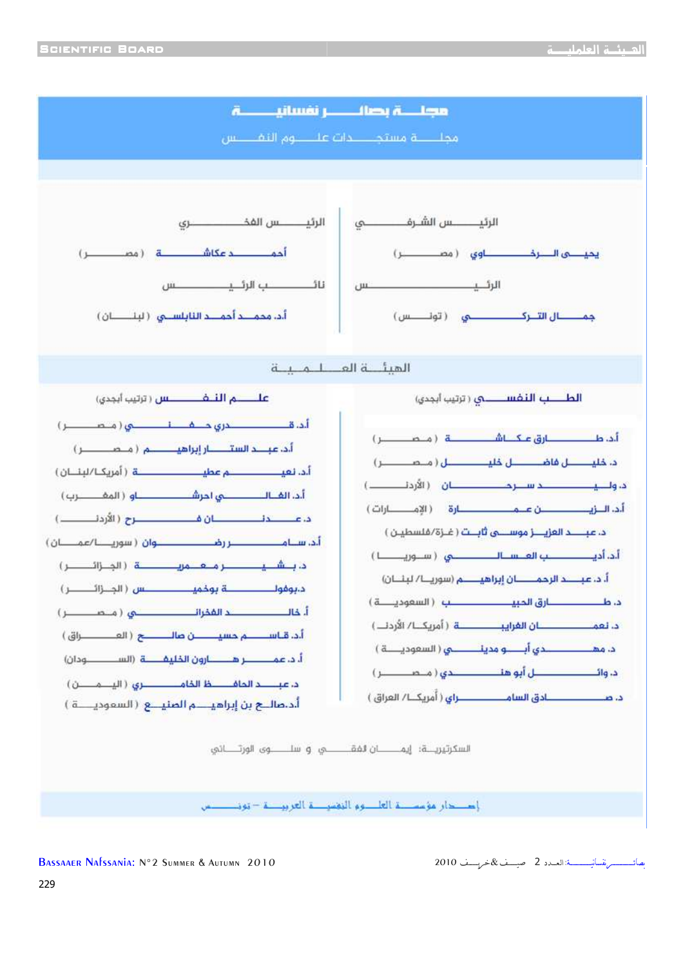ـــــــــــــــــــ 



BASSAAER NAfssania: N°2 Summer & Autumn 2010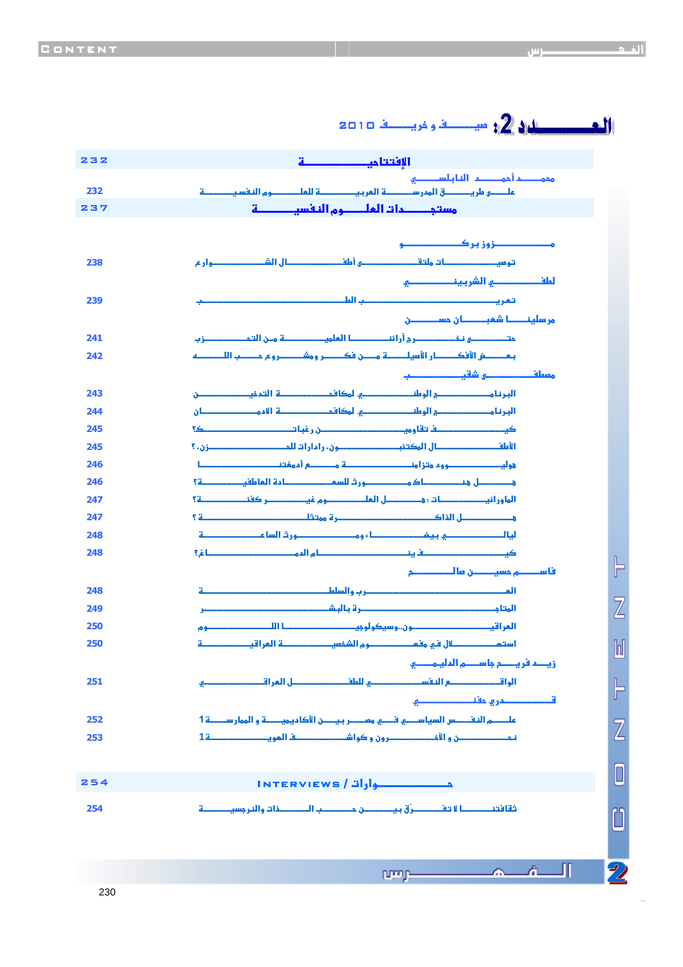40841241 6

|     | الی مسیح میلان است. این مسئل این است از 2010 و 2010                                                               |                |
|-----|-------------------------------------------------------------------------------------------------------------------|----------------|
| 232 |                                                                                                                   |                |
|     | محمــــــم أحمــــــــم الفا بـلســــــــــو                                                                      |                |
| 232 |                                                                                                                   |                |
| 237 |                                                                                                                   |                |
|     |                                                                                                                   |                |
|     |                                                                                                                   |                |
| 238 | توميـــــــــــــات ولتقـــــــــــــ و أمافــــــــــــال الشــــــــــوار ع                                     |                |
|     | لعلف المستحسب الشربين المستحسب                                                                                    |                |
| 239 |                                                                                                                   |                |
|     | مر سلينـــــــــــا شمبــــــــــــان حســــــــــــــن                                                           |                |
| 241 |                                                                                                                   |                |
| 242 |                                                                                                                   |                |
|     |                                                                                                                   |                |
| 243 | البرنا مستستحسني الومانستستنسي لمكافح ستستعينة التمخيستستنسين                                                     |                |
| 244 | البرنا وحصصصصح الوطن صصصصو لوكافح صصصته الأمو مصطبقان                                                             |                |
| 245 |                                                                                                                   |                |
| 245 |                                                                                                                   |                |
| 246 |                                                                                                                   |                |
| 246 | فتستنسل فتستنسسناك وتستنسسورث للسفين مستنسلامة العاطفيت تنتسية                                                    |                |
| 247 |                                                                                                                   |                |
| 247 |                                                                                                                   |                |
| 248 |                                                                                                                   |                |
| 248 |                                                                                                                   |                |
|     |                                                                                                                   | ┣              |
| 248 | <u> المصطلح المستخدمة المستخدمة المساحرين والسلط المستخدمة المستخدمة</u><br>$\ddot{a}$                            |                |
| 249 |                                                                                                                   | Z              |
| 250 | ألمر أقي<br>۔وم                                                                                                   |                |
| 250 |                                                                                                                   | $\mathbb{I}$   |
|     | زيد فريصم بأسده المليمصو                                                                                          |                |
| 251 |                                                                                                                   | ┣              |
|     | قىسىسىسىدرى دفنىسىسىسىسى                                                                                          |                |
| 252 | علــــــــم النفــــــــس السياســـــــي فــــــي مســـــــر بـيــــــن الأكاميميــــــــة و الممار ســـــــــة 1 | $\overline{Z}$ |
| 253 |                                                                                                                   |                |
|     |                                                                                                                   |                |
| 254 | <b>INTERVIEWS / 2010</b>                                                                                          | 0              |
| 254 | ثقافتن حصالة تفصصرُ ق بيصص حصصب الصصفات والنر جسيصمة                                                              |                |
|     |                                                                                                                   | Ü              |
|     |                                                                                                                   |                |
|     |                                                                                                                   |                |
|     | Л<br>$\sim$ $\sim$ $\sim$<br>prop-                                                                                | $\mathbf{Z}$   |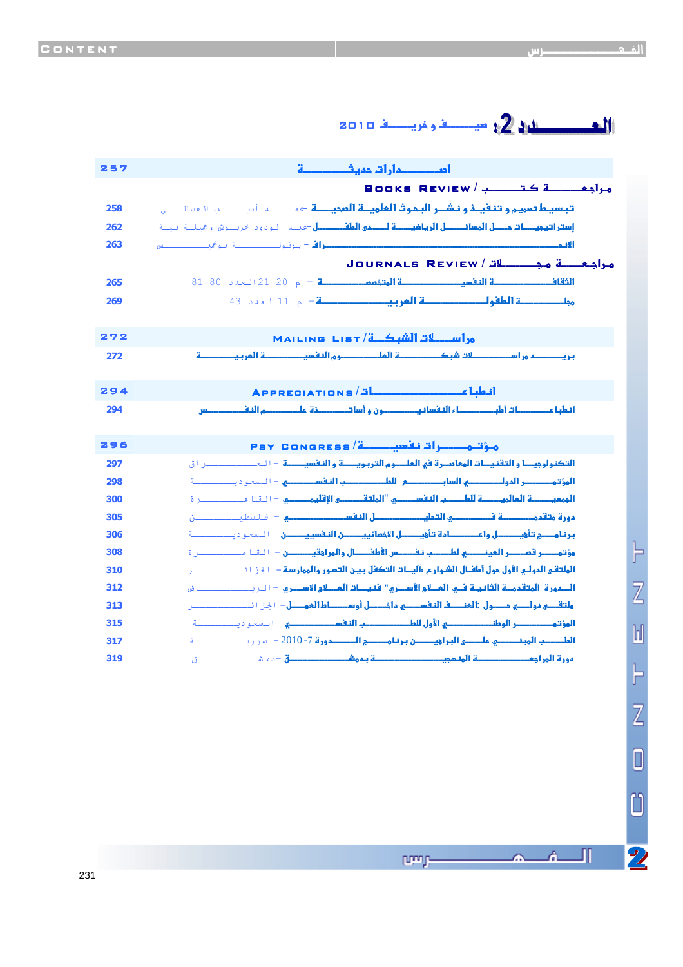# ل من المستقيم المستقيم المستقيم المستقيم المستقيم المستقيم المستقيم المستقيم المستقيم المستقيم المستق<br>والمستقيم المستقيم المستقيم المستقيم المستقيم المستقيم المستقيم المستقيم المستقيم المستقيم المستقيم المستقيم ا<br>والمستقي

| 257        |                                                                                                                                                                                                                                      |
|------------|--------------------------------------------------------------------------------------------------------------------------------------------------------------------------------------------------------------------------------------|
|            |                                                                                                                                                                                                                                      |
| 258        | قعسيط تمويج <b>و تنقيذ و نشــر البحوث العلويــة المحيــــة</b> حمـــــــــــــ أ ديـــــــــــــــــــــ العسائـــــــ                                                                                                               |
| 262        | <mark>إستراتيجيـــات دــــل المسائـــــــل الريافيــــــة لــــــمى المافـــــــــل =كبــــ     الـو دو د خربـــوش ع هجلـــة   بجــة</mark>                                                                                          |
| 263        | 1ة - محمد المستخدمات المستخدمات المستخدمات                                                                                                                                                                                           |
|            |                                                                                                                                                                                                                                      |
| 265        | ا <b>لثقاف الصحيح الله عن الله عن الله عن الله عن الله عن الله عن الله عن الله عن الله عن الله عن الله عن الله عن الله عن الله عن الله عن الله عن الله عن الله عن الله عن الله عن الله عن الله عن الله عن الله عن الله عن الله ع</b> |
| 269        | موان مستنب <b>ر في الطفول المستنبر العامل العامل المعامل المعامل المعامل المعامل المعامل المعامل المعامل المعامل ال</b>                                                                                                              |
|            |                                                                                                                                                                                                                                      |
| 272        | مراسكات الشكة / MAILING LIST                                                                                                                                                                                                         |
| 272        | أبلو أيبت                                                                                                                                                                                                                            |
|            |                                                                                                                                                                                                                                      |
| 294        | APPRECIATIONS/ <del>"</del>                                                                                                                                                                                                          |
| 294        | أنعلبا عــــــــــات أملبـــــــــــــاء النفسانيـــــــــــون و أساتــــــــــــــــــــــــــــــــ م النفـــ                                                                                                                      |
|            |                                                                                                                                                                                                                                      |
| 296        | مؤتمـــــرات نفسيـــــــة/ Psy Congress                                                                                                                                                                                              |
| 297<br>298 |                                                                                                                                                                                                                                      |
| 300        | <mark>الجهعيــــــــة المالويـــــــــة للطـــــــب النفســــــــــو "الولتةــــــــــو القليمــــــــــــ و = الـقـا مـــــــــــــــــر ة</mark>                                                                                   |
| 305        | ف <mark>ورة متقم مستنسسة فسيستسبق التجليب مستنسس اللفة سيستنسست مستنسس</mark> = فبالسطين المستنسسين                                                                                                                                  |
| 306        |                                                                                                                                                                                                                                      |
| 308        | <mark>مؤتمـــــر قصـــــر العينـــــــــي لطــــــب نفــــــس الأمافـــــال والمرا وقيـــــــــن — الـقــا مــــــــــــــــر ة</mark>                                                                                               |
| 310        | الملتقى المولى الأول مول أماقـال الشواريح :آليــات التكفل بيـن التعبور والممار سـة — 1 إخ 1 1 ــــــــــــــــ                                                                                                                       |
| 312        |                                                                                                                                                                                                                                      |
| 313        | <mark>مائتقىسى موالسى جىسول :العنصف النفسيسى ما خيسل أوسيسلط العميسل</mark> — 1 إخر 11 كيسيسيسي                                                                                                                                      |
| 315        | المؤتم مستنسس الوطن المستنسسي الأول للطب مستنسسية النفس مستنسسي = السعو ديستنسسية                                                                                                                                                    |
| 317        |                                                                                                                                                                                                                                      |
| 319        |                                                                                                                                                                                                                                      |

40841241 6

Л

Â.

æ.

ppng-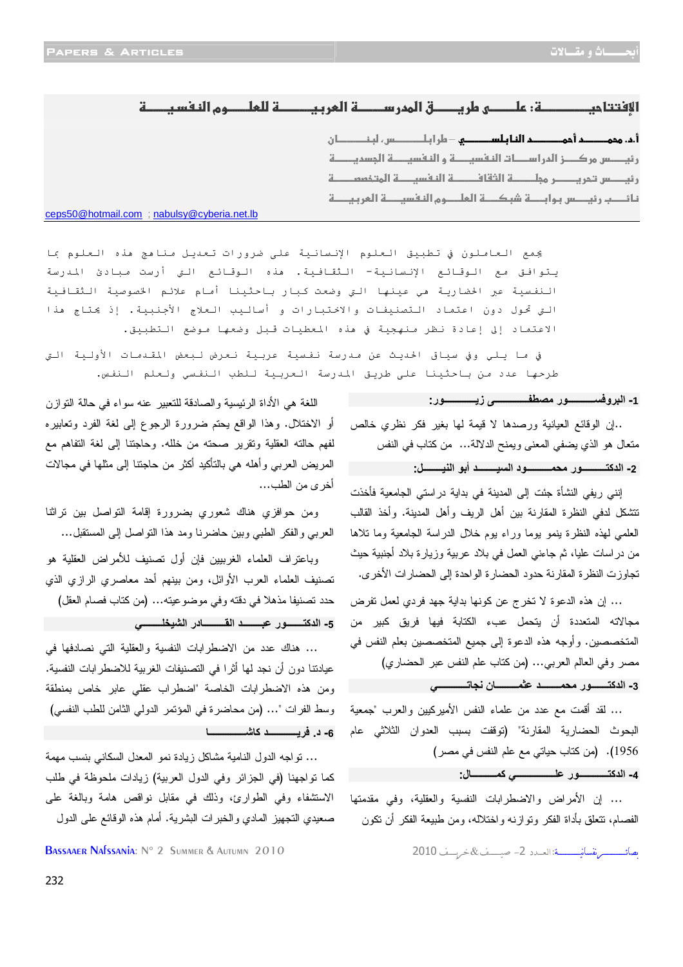#### א:- -ط-ق אد- א- -وמ א-- --------------------------------------------------------------------

أ.<mark>د. هجمـــــــد أحمــــــــــد الفا بـلســـــــــــو</mark> — مار ا بـلـــــــــــس، لبـفــــــــــا ن ----------------------------------------------------------------------%س \$ز אدא-" א- و א- א!د- ----------------------------------------%س - !-א()- א- א'&&- ---------------------------------------------نائــــب رئيـــــس بـوابــــــة شبكــــــة العلـــــوم النـفسيـــــة المربـيـــــة -----------------------------------------

ceps50@hotmail.com ; nabulsy@cyberia.net.lb

يجمع العاملون في تطبيق العلوم الإنسانية على ضرورات تعديل مناهج هذه العلوم بما يـتوافق مع الـوقـائـع الإنـسانـيـة – الـثقـافـيـة. هذه الـوقـائـع الـتي أرست مـبادئ المـدرسة الـنفـسيـة عبر الحضاريـة هي عينـها الـتي وضعت كـبار بـاحـثينا أمـام علائـم الخصوصيـة الـثقـافـيـة التي تحول دون اعتماد التصنيفات والاختبارات و أساليب العلاج الأجنبية. إذ يحتاج هذا الاعتماد إلى إعادة نظر منهجية في هذه المعطيات قبل وضعها موضع التطبيق.

Ξ

في ما يلي وفي سياق الحديث عن مدرسة نفسية عربية نعرض لبعض المقدمات الأولية التي طرحها عدد من باحثينا على طريق المدرسة العربية للطب النفسي ولعلم النفس.

#### 1- البروفســـــــــــور مصطفــــــــــــــــى زيـــــــــــــــور:

..إن الوقائع العيانية ورصدها لا قيمة لها بغير فكر نظري خالص متعال هو الذي يضفي المعنى ويمنح الدلالة... من كتاب في النفس **2 - اآــــــــــ
ر !'&ــــــــــ
د اــــــــ أ(
 ا)ــــــــ +:**

إنني ريفي النشأة جئت إلى المدينة في بداية دراستي الجامعية فأخذت تتشكل لدفي النظرة المقارنة بين أهل الريف وأهل المدينة. وأخذ القالب العلمي لهذه النظرة ينمو يوما وراء يوم خلال الدراسة الجامعية وما تلاها من دراسات عليا، ثم جاءني العمل في بلاد عربية وزيارة بلاد أجنبية حيث تجاوزت النظرة المقارنة حدود الحضارة الواحدة إلى الحضارات الأخرى .

... إن هذه الدعوة لا تخرج عن كونها بداية جهد فردي لعمل تفرض مجالاته المتعددة أن يتحمل عبء الكتابة فيها فريق كبير من المتخصصين. وأوجه هذه الدعوة إلى جميع المتخصصين بعلم النفس في مصر وفي العالم العربي... (من كتاب علم النفس عبر الحضاري )

#### 3- الدكتــــــــور محمــــــــــد عثمـــــــــــان نجاتــــــــــ*ـــى*

... لقد أقمت مع عدد من علماء النفس الأميركيين والعرب "جمعية البحوث الحضارية المقارنة" (توقفت بسبب العدوان الثلاثي عام 1956 ( ). من كتاب حياتي مع علم النفس في مصر )

**4 - اآــــــــــــ
ر ــــــــــــــــ آ&ــــــــــ :ل**

... إن الأمراض والاضطرابات النفسية والعقلية، وفي مقدمتها الفصام، تتعلق بأداة الفكر وتوازنه واختلاله، ومن طبيعة الفكر أن تكون

يصائىسسى نفسانيسسسة: العبدد 2- صينسف &خربسف 2010

اللغة هي الأداة الرئيسية والصادقة للتعبير عنه سواء في حالة التوازن أو الاختلال. وهذا الواقع يحتم ضرورة الرجوع إلى لغة الفرد وتعابيره لفهم حالته العقلية وتقرير صحته من خلله. وحاجتنا إلى لغة التفاهم مع المريض العربي وأهله هي بالتأكيد أكثر من حاجتنا إلى مثلها في مجالات أخرى من الطب...

ومن حوافزي هناك شعوري بضرورة إقامة التواصل بين تراثنا العربي والفكر الطبي وبين حاضرنا ومد هذا التواصل إلى المستقبل...

وباعتراف العلماء الغربيين فإن أول تصنيف للأمراض العقلية هو تصنيف العلماء العرب الأوائل، ومن بينهم أحد معاصري الرازي الذي حدد تصنيفا مذهلا في دقته وفي موضوعيته... (من كتاب فصام العقل ) 5- الدكتـــــــــور عبـــــــــد القــــــــــــادر الشيخلــــــــ*ي* 

... هناك عدد من الاضطرابات النفسية والعقلية التي نصادفها في عيادتنا دون أن نجد لها أثرا في التصنيفات الغربية للاضطرابات النفسية. ومن هذه الاضطرابات الخاصة "اضطراب عقلي عابر خاص بمنطقة وسط الفرات "... (من محاضرة في المؤتمر الدولي الثامن للطب النفسي ) **6 . د - ــــــــــــ آـــــــــــــــ** 

... تواجه الدول النامية مشاكل زيادة نمو المعدل السكاني بنسب مهمة كما تواجهنا (في الجزائر وفي الدول العربية) زيادات ملحوظة في طلب الاستشفاء وفي الطوارئ، وذلك في مقابل نواقص هامة وبالغة على صعيدي التجهيز المادي والخبرات البشرية. أمام هذه الوقائع على الدول

BASSAAER NAfssania: N° 2 Summer & Autumn 2010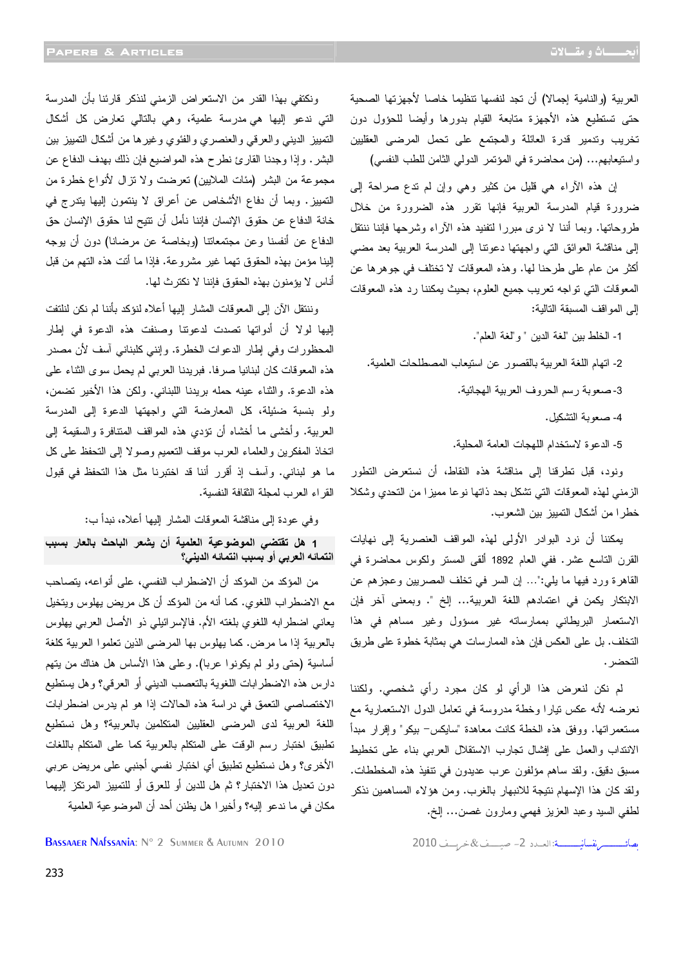العربية (والنامية إجمالا) أن تجد لنفسها تنظيما خاصا لأجهزتها الصحية حتى تستطيع هذه الأجهزة متابعة القيام بدورها وأيضا للحؤول دون تخريب وتدمير قدرة العائلة والمجتمع على تحمل المرضى العقليين واستيعابهم... (من محاضرة في المؤتمر الدولي الثامن للطب النفسي )

 إن هذه الآراء هي قليل من كثير وهي وإن لم تدع صراحة إلى ضرورة قيام المدرسة العربية فإنها تقرر هذه الضرورة من خلال طروحاتها. وبما أننا لا نرى مبررا لتفنيد هذه الآراء وشرحها فإننا ننتقل إلى مناقشة العوائق التي واجهتها دعوتنا إلى المدرسة العربية بعد مضي أكثر من عام على طرحنا لها. وهذه المعوقات لا تختلف في جوهرها عن المعوقات التي تواجه تعريب جميع العلوم، بحيث يمكننا رد هذه المعوقات إلى المواقف المسبقة التالية :

1- الخلط بين "لغة الدين "و" لغة العلم ".

2- اتهام اللغة العربية بالقصور عن استيعاب المصطلحات العلمية . 3- صعوبة رسم الحروف العربية الهجائية . 4- صعوبة التشكيل .

5- الدعوة لاستخدام اللهجات العامة المحلية .

ونود، قبل تطرقنا إلى مناقشة هذه النقاط، أن نستعرض التطور الزمني لهذه المعوقات التي تشكل بحد ذاتها نوعا مميزا من التحدي وشكلا خطرا من أشكال التمييز بين الشعوب .

يمكننا أن نرد البوادر الأولى لهذه المواقف العنصرية إلى نهايات القرن التاسع عشر. ففي العام 1892 ألقى المستر ولكوس محاضرة في القاهرة ورد فيها ما يلي:"... إن السر في تخلف المصريين وعجزهم عن الابتكار يكمن في اعتمادهم اللغة العربية... إلخ ". وبمعنى آخر فإن الاستعمار البريطاني بممارساته غير مسؤول وغير مساهم في هذا التخلف. بل على العكس فإن هذه الممارسات هي بمثابة خطوة على طريق التحضر .

لم نكن لنعرض هذا الرأي لو كان مجرد رأي شخصي. ولكننا نعرضه لأنه عكس تيارا وخطة مدروسة في تعامل الدول الاستعمارية مع مستعمراتها. ووفق هذه الخطة كانت معاهدة "سايكس - بيكو" وإقرار مبدأ الانتداب والعمل على إفشال تجارب الاستقلال العربي بناء على تخطيط مسبق دقيق. ولقد ساهم مؤلفون عرب عديدون في تنفيذ هذه المخططات. ولقد كان هذا الإسهام نتيجة للانبهار بالغرب. ومن هؤلاء المساهمين نذكر لطفي السيد وعبد العزيز فهمي ومارون غصن... إلخ .

 ـــــــــــــــــــ ــــــــــــــــــ :אـــــد2 ــــــــــ& ـــــــ2010 2010 Autumn & Summer 2 °N :Nafssania Bassaaer

ونكتفي بهذا القدر من الاستعراض الزمني لنذكر قارئنا بأن المدرسة التي ندعو إليها هي مدرسة علمية، وهي بالتالي تعارض كل أشكال التمييز الديني والعرقي والعنصري والفئوي وغيرها من أشكال التمييز بين البشر. وإذا وجدنا القارئ نطرح هذه المواضيع فإن ذلك بهدف الدفاع عن مجموعة من البشر (مئات الملايين) تعرضت ولا تزال لأنواع خطرة من التمييز. وبما أن دفاع الأشخاص عن أعراق لا ينتمون إليها يتدرج في خانة الدفاع عن حقوق الإنسان فإننا نأمل أن تتيح لنا حقوق الإنسان حق الدفاع عن أنفسنا وعن مجتمعاتنا (وبخاصة عن مرضانا) دون أن يوجه إلينا مؤمن بهذه الحقوق تهما غير مشروعة. فإذا ما أتت هذه التهم من قبل أناس لا يؤمنون بهذه الحقوق فإننا لا نكترث لها .

وننتقل الآن إلى المعوقات المشار إليها أعلاه لنؤكد بأننا لم نكن لنلتفت إليها لولا أن أدواتها تصدت لدعوتنا وصنفت هذه الدعوة في إطار المحظورات وفي إطار الدعوات الخطرة. وإنني كلبناني آسف لأن مصدر هذه المعوقات كان لبنانيا صرفا. فبريدنا العربي لم يحمل سوى الثناء على هذه الدعوة. والثناء عينه حمله بريدنا اللبناني. ولكن هذا الأخير تضمن، ولو بنسبة ضئيلة، كل المعارضة التي واجهتها الدعوة إلى المدرسة العربية. وأخشى ما أخشاه أن تؤدي هذه المواقف المتنافرة والسقيمة إلى اتخاذ المفكرين والعلماء العرب موقف التعميم وصولا إلى التحفظ على كل ما هو لبناني. وآسف إذ أقرر أننا قد اختبرنا مثل هذا التحفظ في قبول القراء العرب لمجلة الثقافة النفسية .

وفي عودة إلى مناقشة المعوقات المشار إليها أعلاه، نبدأ ب:

1 هل تقتضي الموضوعية العلمية أن يشعر الباحث بالعار بسبب انتمائــه الـعربي أو بسبب انتمـائــه الدين*ـي*؟

من المؤكد من المؤكد أن الاضطراب النفسي، على أنواعه، يتصاحب مع الاضطراب اللغوي. كما أنه من المؤكد أن كل مريض يهلوس ويتخيل يعاني اضطرابه اللغوي بلغته الأم. فالإسرائيلي ذو الأصل العربي يهلوس بالعربية إذا ما مرض. كما يهلوس بها المرضى الذين تعلموا العربية كلغة أساسية (حتى ولو لم يكونوا عربا). وعلى هذا الأساس هل هناك من يتهم دارس هذه الاضطرابات اللغوية بالتعصب الديني أو العرقي؟ وهل يستطيع الاختصاصي التعمق في دراسة هذه الحالات إذا هو لم يدرس اضطرابات اللغة العربية لدى المرضى العقليين المتكلمين بالعربية؟ وهل نستطيع تطبيق اختبار رسم الوقت على المتكلم بالعربية كما على المتكلم باللغات الأخرى؟ وهل نستطيع تطبيق أي اختبار نفسي أجنبي على مريض عربي دون تعديل هذا الاختبار؟ ثم هل للدين أو للعرق أو للتمييز المرتكز إليهما مكان في ما ندعو إليه؟ وأخيرا هل يظنن أحد أن الموضوعية العلمية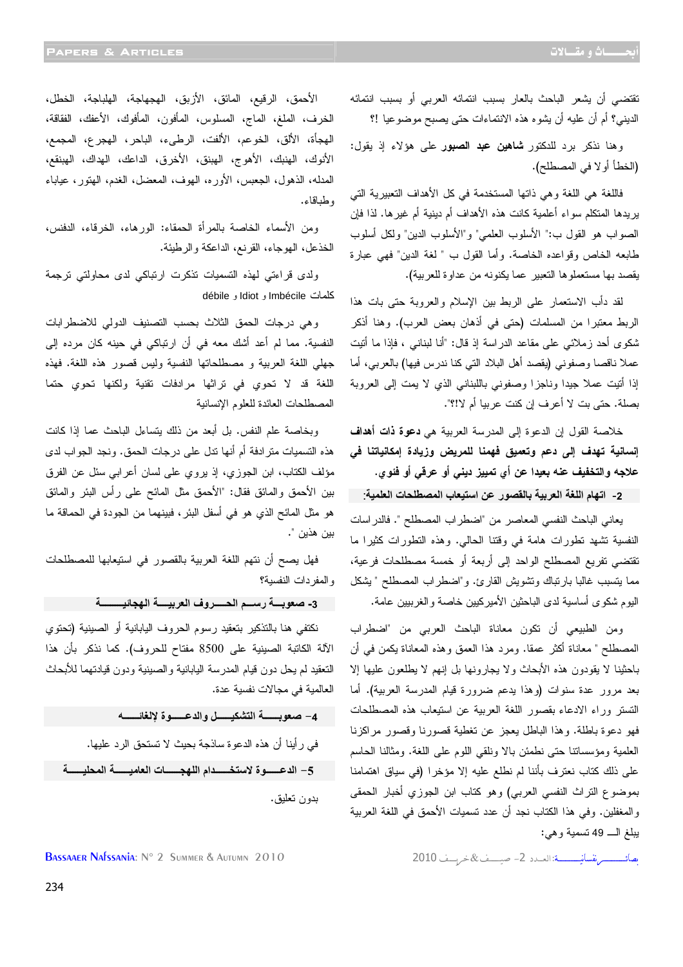تقتضي أن يشعر الباحث بالعار بسبب انتمائه العربي أو بسبب انتمائه الديني؟ أم أن عليه أن يشوه هذه الانتماءات حتى يصبح موضوعيا ! ؟

وهنا نذكر برد للدكتور **شاهين عبد الصبور** على هؤلاء إذ يقول: (الخطأ أولا في المصطلح ).

فاللغة هي اللغة وهي ذاتها المستخدمة في كل الأهداف التعبيرية التي يريدها المتكلم سواء أعلمية كانت هذه الأهداف أم دينية أم غيرها. لذا فإن الصواب هو القول ب:" الأسلوب العلمي "و" الأسلوب الدين" ولكل أسلوب طابعه الخاص وقواعده الخاصة. وأما القول ب " لغة الدين" فهي عبارة يقصد بها مستعملوها التعبير عما يكنونه من عداوة للعربية ).

لقد دأب الاستعمار على الربط بين الإسلام والعروبة حتى بات هذا الربط معتبرا من المسلمات (حتى في أذهان بعض العرب). وهنا أذكر شكوى أحد زملائي على مقاعد الدراسة إذ قال: "أنا لبناني ، فإذا ما أتيت عملا ناقصا وصفوني (يقصد أهل البلاد التي كنا ندرس فيها) بالعربي، أما إذا أتيت عملا جيدا وناجزا وصفوني باللبناني الذي لا يمت إلى العروبة بصلة. حتى بت لا أعرف إن كنت عربيا أم لا ".؟!

خلاصة القول إن الدعوة إلى المدرسة العربية هي **دعوة ذات أهداف إنسانية تهدف إلى دعم وتعميق فهمنا للمريض وزيادة إمكانياتنا في علاجه والتخفيف عنه بعيدا عن أي تمييز ديني أو عرقي أو فئوي.**

2- اتهام اللغة العربية بالقصور. عن استيعاب المصطلحات العلمية:

يعاني الباحث النفسي المعاصر من "اضطراب المصطلح ". فالدراسات النفسية تشهد تطورات هامة في وقتنا الحالي. وهذه التطورات كثيرا ما تقتضي تفريع المصطلح الواحد إلى أربعة أو خمسة مصطلحات فرعية، مما يتسبب غالبا بارنباك وتشويش القارئ. و"اضطراب المصطلح " يشكل اليوم شكوى أساسية لدى الباحثين الأميركيين خاصة والغربيين عامة .

ومن الطبيعي أن تكون معاناة الباحث العربي من "اضطراب المصطلح " معاناة أكثر عمقا. ومرد هذا العمق وهذه المعاناة يكمن في أن باحثينا لا يقودون هذه الأبحاث ولا يجارونها بل إنهم لا يطلعون عليها إلا بعد مرور عدة سنوات (وهذا يدعم ضرورة قيام المدرسة العربية). أما التستر وراء الادعاء بقصور اللغة العربية عن استيعاب هذه المصطلحات فهو دعوة باطلة. وهذا الباطل يعجز عن تغطية قصورنا وقصور مراكزنا العلمية ومؤسساتنا حتى نطمئن بالا ونلقي اللوم على اللغة. ومثالنا الحاسم على ذلك كتاب نعترف بأننا لم نطلع عليه إلا مؤخرا (في سياق اهتمامنا بموضوع التراث النفسي العربي) وهو كتاب ابن الجوزي أخبار الحمقى والمغفلين. وفي هذا الكتاب نجد أن عدد تسميات الأحمق في اللغة العربية يبلغ الـ 49 تسمية وهي :

 ـــــــــــــــــــ ــــــــــــــــــ :אـــــد2 ــــــــــ& ـــــــ2010 2010 Autumn & Summer 2 °N :Nafssania Bassaaer

الأحمق، الرقيع، المائق، الأزبق، الهجهاجة، الهلباجة، الخطل، الخرف، الملغ، الماج، المسلوس، المأفون، المأفوك، الأعفك، الفقاقة، الهجأة، الألق، الخوعم، الألفت، الرطىء، الباحر، الهجرع، المجمع، الأنوك، الهنبك، الأهوج، الهبنق، الأخرق، الداعك، الهداك، الهبنقع، المدله، الذهول، الجعبس، الأوره، الهوف، المعضل، الغدم، الهتور، عياباء وطباقاء .

ومن الأسماء الخاصة بالمرأة الحمقاء: الورهاء، الخرقاء، الدفنس، الخذعل، الهوجاء، القرنع، الداعكة والرطيئة .

ولدى قراءتي لهذه التسميات تذكرت ارتباكي لدى محاولتي ترجمة كلمات Imbécile و Idiot و débile

وهي درجات الحمق الثلاث بحسب التصنيف الدولي للاضطرابات النفسية. مما لم أعد أشك معه في أن ارتباكي في حينه كان مرده إلى جهلي اللغة العربية و مصطلحاتها النفسية وليس قصور هذه اللغة. فهذه اللغة قد لا تحوي في تراثها مرادفات تقنية ولكنها تحوي حتما المصطلحات العائدة للعلوم الإنسانية

وبخاصة علم النفس. بل أبعد من ذلك يتساءل الباحث عما إذا كانت هذه التسميات مترادفة أم أنها تدل على درجات الحمق. ونجد الجواب لدى مؤلف الكتاب، ابن الجوزي، إذ يروي على لسان أعرابي سئل عن الفرق بين الأحمق والمائق فقال " : الأحمق مثل المائح على رأس البئر والمائق هو مثل المائح الذي هو في أسفل البئر، فبينهما من الجودة في الحماقة ما بين هذين ".

فهل يصح أن نتهم اللغة العربية بالقصور في استيعابها للمصطلحات والمفردات النفسية؟

أ 3- صعوبــــة رســـم الحــــــروف العربيـــــة الـهجائيــــــــــة

نكتفي هنا بالتذكير بتعقيد رسوم الحروف اليابانية أو الصينية (تحتوي الآلة الكاتبة الصينية على 8500 مفتاح للحروف). كما نذكر بأن هذا التعقيد لم يحل دون قيام المدرسة اليابانية والصينية ودون قيادتهما للأبحاث العالمية في مجالات نفسية عدة .

4- صعويـــــــــــــــة التشكيــــــــل والدعـــــــوة لإلغائـــــــــه في رأينا أن هذه الدعوة ساذجة بحيث لا تستحق الرد عليها . 5– الدعـــــوة لاستخـــــدام اللهجــــــات العاميــــــة المحليـــــة بدون تعليق.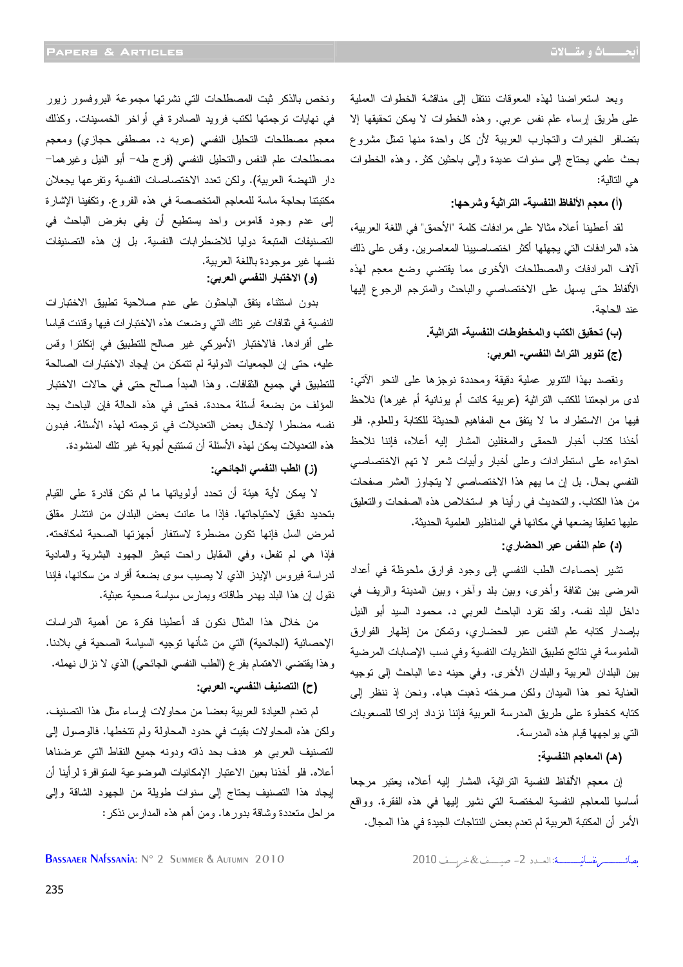وبعد استعراضنا لهذه المعوقات ننتقل إلى مناقشة الخطوات العملية على طريق إرساء علم نفس عربي. وهذه الخطوات لا يمكن تحقيقها إلا بتضافر الخبرات والتجارب العربية لأن كل واحدة منها تمثل مشروع بحث علمي يحتاج إلى سنوات عديدة وإلى باحثين كثر. وهذه الخطوات هي التالية :

(أ) معجم الألفاظ النفسية- التراثية وشرحها:

لقد أعطينا أعلاه مثالا على مرادفات كلمة "الأحمق" في اللغة العربية، هذه المرادفات التي يجهلها أكثر اختصاصيينا المعاصرين. وقس على ذلك آلاف المرادفات والمصطلحات الأخرى مما يقتضي وضع معجم لهذه الألفاظ حتى يسهل على الاختصاصي والباحث والمترجم الرجوع إليها عند الحاجة .

> **(ب) تحقي**ق الكتب والمخطوطات النفسية- التراثية (ج) تنوير التراث النفسي- العربي:

ونقصد بهذا التنوير عملية دقيقة ومحددة نوجزها على النحو الآتي: لدى مراجعتنا للكتب التراثية (عربية كانت أم يونانية أم غيرها) نلاحظ فيها من الاستطراد ما لا يتفق مع المفاهيم الحديثة للكتابة وللعلوم. فلو أخذنا كتاب أخبار الحمقى والمغفلين المشار إليه أعلاه، فإننا نلاحظ احتواءه على استطرادات وعلى أخبار وأبيات شعر لا تهم الاختصاصي النفسي بحال. بل إن ما يهم هذا الاختصاصي لا يتجاوز العشر صفحات من هذا الكتاب. والتحديث في رأينا هو استخلاص هذه الصفحات والتعليق عليها تعليقا يضعها في مكانها في المناظير العلمية الحديثة .

**(د)** علم النفس عبر الحضار ي:

تشير إحصاءات الطب النفسي إلى وجود فوارق ملحوظة في أعداد المرضى بين ثقافة وأخرى، وبين بلد وآخر، وبين المدينة والريف في داخل البلد نفسه. ولقد تفرد الباحث العربي د. محمود السيد أبو النيل بإصدار كتابه علم النفس عبر الحضاري، وتمكن من إظهار الفوارق الملموسة في نتائج تطبيق النظريات النفسية وفي نسب الإصابات المرضية بين البلدان العربية والبلدان الأخرى. وفي حينه دعا الباحث إلى توجيه العناية نحو هذا الميدان ولكن صرخته ذهبت هباء. ونحن إذ ننظر إلى كتابه كخطوة على طريق المدرسة العربية فإننا نزداد إدراكا للصعوبات التي يواجهها قيام هذه المدرسة .

**(هـ)** المعاجم النفسية:

إن معجم الألفاظ النفسية التراثية، المشار إليه أعلاه، يعتبر مرجعا أساسيا للمعاجم النفسية المختصة التي نشير إليها في هذه الفقرة. وواقع الأمر أن المكتبة العربية لم تعدم بعض النتاجات الجيدة في هذا المجال .

مصائـــــــــــ نفسانيـــــــــة: العــدد 2- صيــــف &خريسف 2010

ونخص بالذكر ثبت المصطلحات التي نشرتها مجموعة البروفسور زيور في نهايات ترجمتها لكتب فرويد الصادرة في أواخر الخمسينات. وكذلك معجم مصطلحات التحليل النفسي (عربه د. مصطفى حجازي) ومعجم مصطلحات علم النفس والتحليل النفسي (فرج طه - أبو النيل وغيرهما- دار النهضة العربية). ولكن تعدد الاختصاصات النفسية وتفرعها يجعلان مكتبتنا بحاجة ماسة للمعاجم المتخصصة في هذه الفروع. وتكفينا الإشارة إلى عدم وجود قاموس واحد يستطيع أن يفي بغرض الباحث في التصنيفات المتبعة دوليا للاضطرابات النفسية. بل إن هذه التصنيفات نفسها غير موجودة باللغة العربية .

### **(و)** الاختبار النفسي العربي:

بدون استثناء يتفق الباحثون على عدم صلاحية تطبيق الاختبارات النفسية في ثقافات غير تلك التي وضعت هذه الاختبارات فيها وقننت قياسا على أفرادها. فالاختبار الأميركي غير صالح للتطبيق في إنكلترا وقس عليه، حتى إن الجمعيات الدولية لم تتمكن من إيجاد الاختبارات الصالحة للتطبيق في جميع الثقافات. وهذا المبدأ صالح حتى في حالات الاختبار المؤلف من بضعة أسئلة محددة. فحتى في هذه الحالة فإن الباحث يجد نفسه مضطرا لإدخال بعض التعديلات في ترجمته لهذه الأسئلة. فبدون هذه التعديلات يمكن لهذه الأسئلة أن تستتبع أجوبة غير تلك المنشودة.

#### **(ز)** الطب النفسي الجائحي:

لا يمكن لأية هيئة أن تحدد أولوياتها ما لم تكن قادرة على القيام بتحديد دقيق لاحتياجاتها. فإذا ما عانت بعض البلدان من انتشار مقلق لمرض السل فإنها تكون مضطرة لاستنفار أجهزتها الصحية لمكافحته. فإذا هي لم تفعل، وفي المقابل راحت تبعثر الجهود البشرية والمادية لدراسة فيروس الإيدز الذي لا يصيب سوى بضعة أفراد من سكانها، فإننا نقول إن هذا البلد يهدر طاقاته ويمارس سياسة صحية عبثية .

من خلال هذا المثال نكون قد أعطينا فكرة عن أهمية الدراسات الإحصائية (الجائحية) التي من شأنها توجيه السياسة الصحية في بلادنا. وهذا يقتضي الاهتمام بفرع (الطب النفسي الجائحي) الذي لا نزال نهمله .

#### **(ح)** التصنيف النفسي- العربي:

لم تعدم العيادة العربية بعضا من محاولات إرساء مثل هذا التصنيف. ولكن هذه المحاولات بقيت في حدود المحاولة ولم تتخطها. فالوصول إلى التصنيف العربي هو هدف بحد ذاته ودونه جميع النقاط التي عرضناها أعلاه. فلو أخذنا بعين الاعتبار الإمكانيات الموضوعية المتوافرة لرأينا أن إيجاد هذا التصنيف يحتاج إلى سنوات طويلة من الجهود الشاقة وإلى مراحل متعددة وشاقة بدورها. ومن أهم هذه المدارس نذكر :

BASSAAER NAfssania: N° 2 Summer & Autumn 2010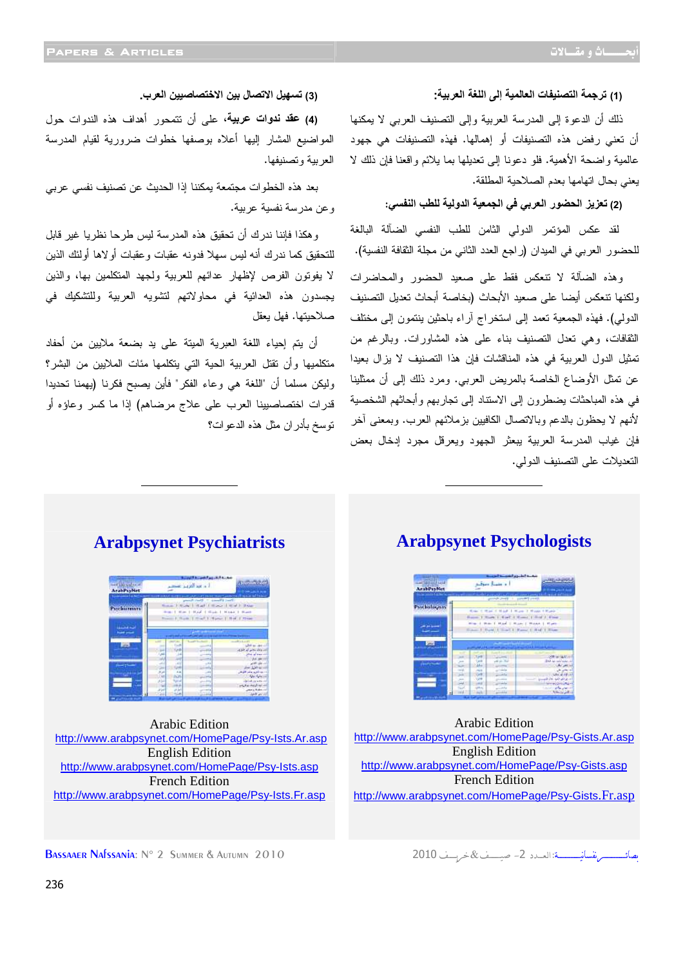#### (1) ترجمة التصنيفات العالمية إلى اللغة العربية<del>.</del>

ذلك أن الدعوة إلى المدرسة العربية وإلى التصنيف العربي لا يمكنها أن تعني رفض هذه التصنيفات أو إهمالها. فهذه التصنيفات هي جهود عالمية واضحة الأهمية. فلو دعونا إلى تعديلها بما يلائم واقعنا فإن ذلك لا يعني بحال اتهامها بعدم الصلاحية المطلقة .

#### (2) تعزيز الحضور العربي في الجمعية الدولية للطب النف*سي*:

لقد عكس المؤتمر الدولي الثامن للطب النفسي الضآلة البالغة للحضور العربي في الميدان (راجع العدد الثاني من مجلة الثقافة النفسية).

وهذه الضآلة لا تنعكس فقط على صعيد الحضور والمحاضرات ولكنها تنعكس أيضا على صعيد الأبحاث (بخاصة أبحاث تعديل التصنيف الدولي). فهذه الجمعية تعمد إلى استخراج آراء باحثين ينتمون إلى مختلف الثقافات، وهي تعدل التصنيف بناء على هذه المشاورات. وبالرغم من تمثيل الدول العربية في هذه المناقشات فإن هذا التصنيف لا يزال بعيدا عن تمثل الأوضاع الخاصة بالمريض العربي. ومرد ذلك إلى أن ممثلينا في هذه المباحثات يضطرون إلى الاستناد إلى تجاربهم وأبحاثهم الشخصية لأنهم لا يحظون بالدعم وبالاتصال الكافيين بزملائهم العرب. وبمعنى آخر فإن غياب المدرسة العربية يبعثر الجهود ويعرقل مجرد إدخال بعض التعديلات على التصنيف الدولي .

(3) ت*سهيل ا*لاتصال بين الاختصاصيين العرب.

**)4( 0وات (،9** على أن تتمحور أهداف هذه الندوات حول المواضيع المشار إليها أعلاه بوصفها خطوات ضرورية لقيام المدرسة العربية وتصنيفها.

بعد هذه الخطوات مجتمعة يمكننا إذا الحديث عن تصنيف نفسي عربي وعن مدرسة نفسية عربية .

وهكذا فإننا ندرك أن تحقيق هذه المدرسة ليس طرحا نظريا غير قابل للتحقيق كما ندرك أنه ليس سهلا فدونه عقبات وعقبات أولاها أولئك الذين لا يفوتون الفرص لإظهار عدائهم للعربية ولجهد المتكلمين بها، والذين يجسدون هذه العدائية في محاولاتهم لتشويه العربية وللتشكيك في صلاحيتها. فهل يعقل

أن يتم إحياء اللغة العبرية الميتة على يد بضعة ملايين من أحفاد متكلميها وأن تقتل العربية الحية التي يتكلمها مئات الملايين من البشر؟ وليكن مسلما أن "اللغة هي وعاء الفكر" فأين يصبح فكرنا (يهمنا تحديدا قدرات اختصاصيينا العرب على علاج مرضاهم) إذا ما كسر وعاؤه أو توسخ بأدران مثل هذه الدعوات؟

## **Arabpsynet Psychologists**

<u> The Communication of the Communication of the Communication of the Communication of the Communication of the Co</u>

|                                 |                                                               | تبخرك المقروع التقسيكة                |
|---------------------------------|---------------------------------------------------------------|---------------------------------------|
| a shotlar                       | After Just a                                                  | <b>NATIONAL</b>                       |
| Arab@syNet                      |                                                               |                                       |
| academic future incommunication | offer a concentrate to the project states a sound of the form |                                       |
|                                 | prove party in proven costs                                   |                                       |
| Psychologicis                   |                                                               |                                       |
|                                 | <b>Rando</b><br><b>STAND</b>                                  | Middle 1, Milano 1, Missouri 4 March- |
|                                 | Room, J. Sare J. Karl, J. Kans, J. Roll J. Mine               |                                       |
|                                 | than 1 than 1 thank 1 than 1 thank 1 thank                    |                                       |
|                                 | States J. Rand, J. Start, J. Brand, J. Brand, J. Blanc        |                                       |
|                                 |                                                               |                                       |
|                                 |                                                               |                                       |
| <b>SANT</b>                     |                                                               | with the basic and past.              |
|                                 |                                                               |                                       |
|                                 | 7,68<br>m                                                     | 200 at 4.0 at                         |
|                                 | $-60.5$<br><b>Tariff</b>                                      | that an intransit                     |
|                                 | 10844<br>-                                                    | College Hall                          |
|                                 | <b>COLOR</b><br><b>Colla</b>                                  |                                       |
|                                 | <b>SAR</b><br><b>A</b><br><b>Light</b>                        |                                       |
|                                 | $1 - 1$<br>71198                                              | <b>Live Admin</b>                     |
|                                 | Like.<br><b>A</b>                                             | <b>Listen Print, Jul 14</b>           |
|                                 | 1,810<br><b>Hall</b><br>$-14$                                 | <b>Manager</b>                        |

Arabic Edition http://www.arabpsynet.com/HomePage/Psy-Gists.Ar.asp English Edition http://www.arabpsynet.com/HomePage/Psy-Gists.asp French Edition http://www.arabpsynet.com/HomePage/Psy-Gists.Fr.asp

**Arabpsynet Psychiatrists** 

| and the Utilities<br><b>Arabi's yNet</b>                               |                                                                                                  | أأرد هذا العربين تعتصر                                                                                                                            | <b>ANTICO</b>                                                                                     |  |  |
|------------------------------------------------------------------------|--------------------------------------------------------------------------------------------------|---------------------------------------------------------------------------------------------------------------------------------------------------|---------------------------------------------------------------------------------------------------|--|--|
| <b>Controlled Art Control Service Control</b><br><b>Pyrcless treat</b> | $-1$                                                                                             | <b>And I want the same than 1 weeks the</b><br>The annual interest<br><b>Start Administration</b><br>Walley 1. Hugh 1. Hughest 1. What 1. Britain |                                                                                                   |  |  |
|                                                                        | How I Have I Haad, I Haad, I Haad, I Haad,<br>Room F. Rolls, L. Hoaf, L. Hyne, L. Hyd. J. Strain |                                                                                                                                                   |                                                                                                   |  |  |
|                                                                        | --<br>a Variation                                                                                |                                                                                                                                                   |                                                                                                   |  |  |
|                                                                        |                                                                                                  | <b>Supply Street</b>                                                                                                                              |                                                                                                   |  |  |
| -                                                                      |                                                                                                  |                                                                                                                                                   | <b>COLLANS</b>                                                                                    |  |  |
|                                                                        | Conda<br>$^{++}$                                                                                 |                                                                                                                                                   | <b>BELLINGTON</b><br>and the first parties which are                                              |  |  |
|                                                                        | Tak.                                                                                             |                                                                                                                                                   | allied an electrical                                                                              |  |  |
|                                                                        | $\rightarrow$                                                                                    |                                                                                                                                                   |                                                                                                   |  |  |
|                                                                        | $-44$<br>×1                                                                                      | $-11$                                                                                                                                             |                                                                                                   |  |  |
|                                                                        | Code                                                                                             | a.                                                                                                                                                |                                                                                                   |  |  |
|                                                                        | $4 - 4$<br>,,                                                                                    | ٠                                                                                                                                                 |                                                                                                   |  |  |
|                                                                        | 2 km<br>nas!                                                                                     | m.                                                                                                                                                |                                                                                                   |  |  |
|                                                                        | سرم<br><b>UP of</b>                                                                              | 164                                                                                                                                               | and site in<br>that S.Mrs2111<br>) ) : معاشق و عاش اللونة.<br><b>De factoria</b><br>deliation and |  |  |
|                                                                        | --<br>w<br>لبان<br>المارات                                                                       | <br>                                                                                                                                              | أذاعه أرغضه والهام<br>perchant of                                                                 |  |  |

Arabic Edition http://www.arabpsynet.com/HomePage/Psy-Ists.Ar.asp English Edition http://www.arabpsynet.com/HomePage/Psy-Ists.asp French Edition http://www.arabpsynet.com/HomePage/Psy-Ists.Fr.asp

بصان ـــــــــــــــــــ ــــــــــــــــــ :אـــــد2 ــــــــــ& ـــــــ2010 2010 Autumn & Summer 2 °N :Nafssania Bassaaer